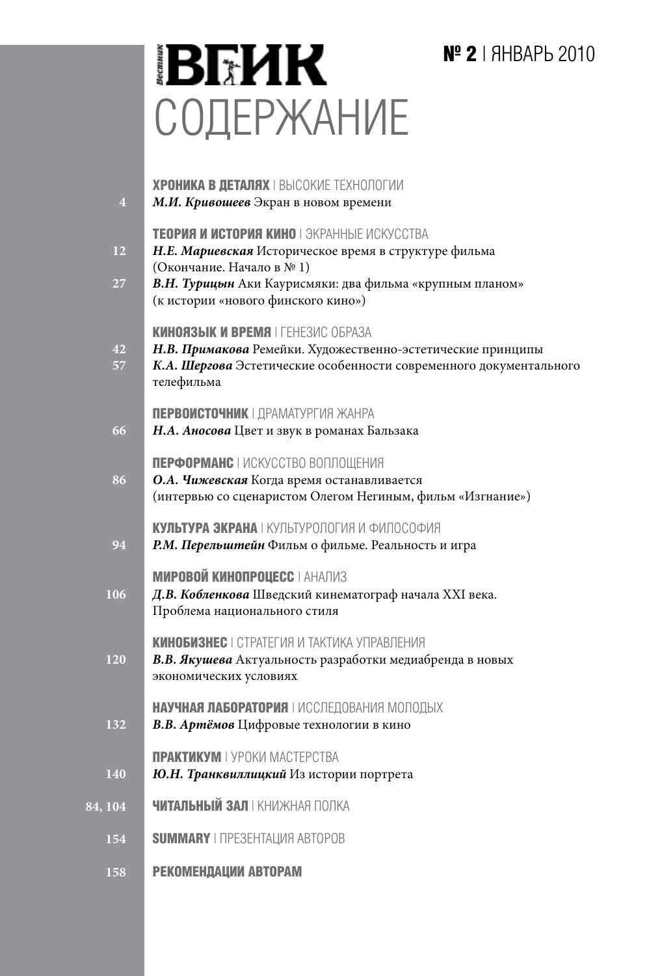# **№ 2** | ЯНВАРЬ 2010

# **BEHK** СОДЕРЖАНИЕ

| $\overline{4}$ | <b>ХРОНИКА В ДЕТАЛЯХ   ВЫСОКИЕ ТЕХНОЛОГИИ</b><br>М.И. Кривошеев Экран в новом времени                                                                                                                                             |
|----------------|-----------------------------------------------------------------------------------------------------------------------------------------------------------------------------------------------------------------------------------|
| 12<br>27       | TEOPNA И ИСТОРИЯ КИНО I ЭКРАННЫЕ ИСКУССТВА<br>Н.Е. Мариевская Историческое время в структуре фильма<br>(Окончание. Начало в №1)<br>В.Н. Турицын Аки Каурисмяки: два фильма «крупным планом»<br>(к истории «нового финского кино») |
| 42<br>57       | KUHOA3ЫK И ВРЕМЯ   ГЕНЕЗИС ОБРАЗА<br>Н.В. Примакова Ремейки. Художественно-эстетические принципы<br>К.А. Шергова Эстетические особенности современного документального<br>телефильма                                              |
| 66             | ПЕРВОИСТОЧНИК   ДРАМАТУРГИЯ ЖАНРА<br>Н.А. Аносова Цвет и звук в романах Бальзака                                                                                                                                                  |
| 86             | ПЕРФОРМАНС   ИСКУССТВО ВОПЛОШЕНИЯ<br>О.А. Чижевская Когда время останавливается<br>(интервью со сценаристом Олегом Негиным, фильм «Изгнание»)                                                                                     |
| 94             | КУЛЬТУРА ЭКРАНА I КУПЬТУРОПОГИЯ И ФИПОСОФИЯ<br>Р.М. Перельштейн Фильм о фильме. Реальность и игра                                                                                                                                 |
| 106            | <b>МИРОВОЙ КИНОПРОЦЕСС   АНАЛИЗ</b><br>Д.В. Кобленкова Шведский кинематограф начала XXI века.<br>Проблема национального стиля                                                                                                     |
| 120            | КИНОБИЗНЕС   СТРАТЕГИЯ И ТАКТИКА УПРАВЛЕНИЯ<br>В.В. Якушева Актуальность разработки медиабренда в новых<br>экономических условиях                                                                                                 |
| 132            | НАУЧНАЯ ЛАБОРАТОРИЯ   ИССЛЕДОВАНИЯ МОЛОДЫХ<br>В.В. Артёмов Цифровые технологии в кино                                                                                                                                             |
| 140            | <b>ПРАКТИКУМ</b>   УРОКИ МАСТЕРСТВА<br>Ю.Н. Транквиллицкий Из истории портрета                                                                                                                                                    |
| 84, 104        | <b>ЧИТАЛЬНЫЙ ЗАЛ   КНИЖНАЯ ПОЛКА</b>                                                                                                                                                                                              |
| 154            | <b>SUMMARY   ПРЕЗЕНТАЦИЯ АВТОРОВ</b>                                                                                                                                                                                              |
| 158            | РЕКОМЕНДАЦИИ АВТОРАМ                                                                                                                                                                                                              |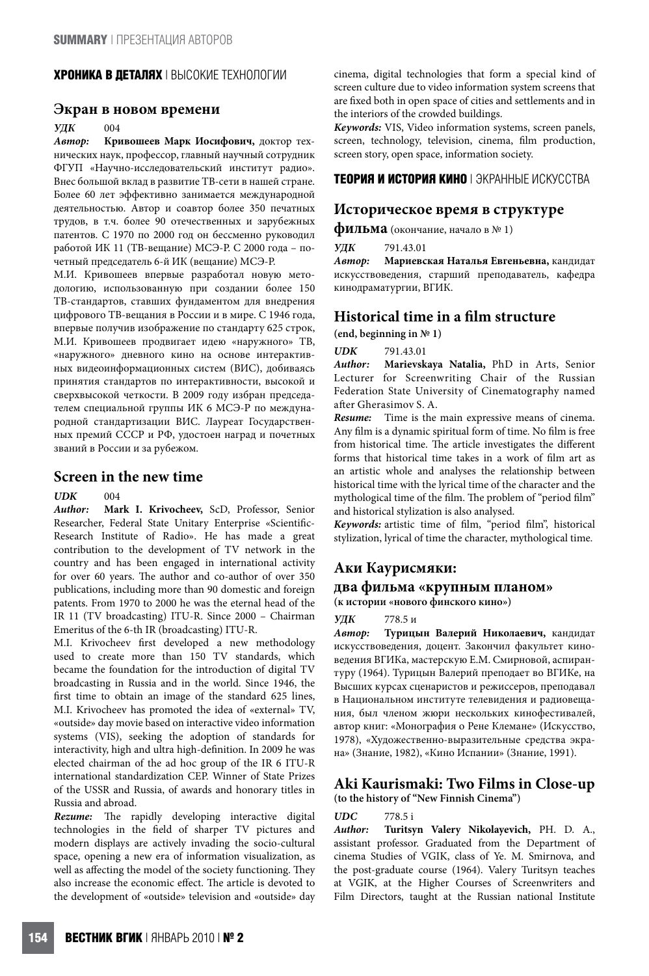#### **ХРОНИКА В ДЕТАЛЯХ** | ВЫСОКИЕ ТЕХНОЛОГИИ

#### **Экран в новом времени**

# *УДК* 004<br>*Автор*: Кри

*Автор:* **Кривошеев Марк Иосифович,** доктор технических наук, профессор, главный научный сотрудник ФГУП «Научно-исследовательский институт радио». Внес большой вклад в развитие ТВ-сети в нашей стране. Более 60 лет эффективно занимается международной деятельностью. Автор и соавтор более 350 печатных трудов, в т.ч. более 90 отечественных и зарубежных патентов. С 1970 по 2000 год он бессменно руководил работой ИК 11 (ТВ-вещание) МСЭ-Р. С 2000 года – почетный председатель 6-й ИК (вещание) МСЭ-Р.

М.И. Кривошеев впервые разработал новую методологию, использованную при создании более 150 ТВ-стандартов, ставших фундаментом для внедрения цифрового ТВ-вещания в России и в мире. С 1946 года, впервые получив изображение по стандарту 625 строк, М.И. Кривошеев продвигает идею «наружного» ТВ, «наружного» дневного кино на основе интерактивных видеоинформационных систем (ВИС), добиваясь принятия стандартов по интерактивности, высокой и сверхвысокой четкости. В 2009 году избран председателем специальной группы ИК 6 МСЭ-Р по международной стандартизации ВИС. Лауреат Государственных премий СССР и РФ, удостоен наград и почетных званий в России и за рубежом.

## **Screen in the new time**

 $U\mathbf{D}K$  004

*Author:* **Mark I. Krivocheev,** ScD, Professor, Senior Researcher, Federal State Unitary Enterprise «Scientific-Research Institute of Radio». He has made a great contribution to the development of TV network in the country and has been engaged in international activity for over 60 years. The author and co-author of over 350 publications, including more than 90 domestic and foreign patents. From 1970 to 2000 he was the eternal head of the IR 11 (TV broadcasting) ITU-R. Since 2000 – Chairman Emeritus of the 6-th IR (broadcasting) ITU-R.

M.I. Krivocheev first developed a new methodology used to create more than 150 TV standards, which became the foundation for the introduction of digital TV broadcasting in Russia and in the world. Since 1946, the first time to obtain an image of the standard 625 lines, M.I. Krivocheev has promoted the idea of «external» TV, «outside» day movie based on interactive video information systems (VIS), seeking the adoption of standards for interactivity, high and ultra high-definition. In 2009 he was elected chairman of the ad hoc group of the IR 6 ITU-R international standardization CEP. Winner of State Prizes of the USSR and Russia, of awards and honorary titles in Russia and abroad.

*Rezume:* The rapidly developing interactive digital technologies in the field of sharper TV pictures and modern displays are actively invading the socio-cultural space, opening a new era of information visualization, as well as affecting the model of the society functioning. They also increase the economic effect. The article is devoted to the development of «outside» television and «outside» day cinema, digital technologies that form a special kind of screen culture due to video information system screens that are fixed both in open space of cities and settlements and in the interiors of the crowded buildings.

*Keywords:* VIS, Video information systems, screen panels, screen, technology, television, cinema, film production, screen story, open space, information society.

#### **ТЕОРИЯ И ИСТОРИЯ КИНО** | ЭКРАННЫЕ ИСКУССТВА

#### **Историческое время в структуре**

**фильма** (окончание, начало <sup>в</sup> № 1)

*УДК* 791.43.01

*Автор:* **Мариевская Наталья Евгеньевна,** кандидат искусствоведения, старший преподаватель, кафедра кинодраматургии, ВГИК.

## **Historical time in a film structure**

**(end, beginning in № 1)**

*UDK* 791.43.01

*Author:* **Marievskaya Natalia,** PhD in Arts, Senior Lecturer for Screenwriting Chair of the Russian Federation State University of Cinematography named after Gherasimov S. A.

*Resume:* Time is the main expressive means of cinema. Any film is a dynamic spiritual form of time. No film is free from historical time. The article investigates the different forms that historical time takes in a work of film art as an artistic whole and analyses the relationship between historical time with the lyrical time of the character and the mythological time of the film. The problem of "period film" and historical stylization is also analysed.

*Keywords:* artistic time of film, "period film", historical stylization, lyrical of time the character, mythological time.

#### **Аки Каурисмяки:**

#### **два фильма «крупным планом»**

**(к истории «нового финского кино»)**

*УДК* 778.5 и

*Автор:* **Турицын Валерий Николаевич,** кандидат искусствоведения, доцент. Закончил факультет киноведения ВГИКа, мастерскую Е.М. Смирновой, аспирантуру (1964). Турицын Валерий преподает во ВГИКе, на Высших курсах сценаристов и режиссеров, преподавал в Национальном институте телевидения и радиовещания, был членом жюри нескольких кинофестивалей, автор книг: «Монография о Рене Клемане» (Искусство, 1978), «Художественно-выразительные средства экрана» (Знание, 1982), «Кино Испании» (Знание, 1991).

#### **Aki Kaurismaki: Two Films in Close-up (to the history of "New Finnish Cinema")**

#### *UDC* 778.5 i

*Author:* **Turitsyn Valery Nikolayevich,** PH. D. A., assistant professor. Graduated from the Department of cinema Studies of VGIK, class of Ye. M. Smirnova, and the post-graduate course (1964). Valery Turitsyn teaches at VGIK, at the Higher Courses of Screenwriters and Film Directors, taught at the Russian national Institute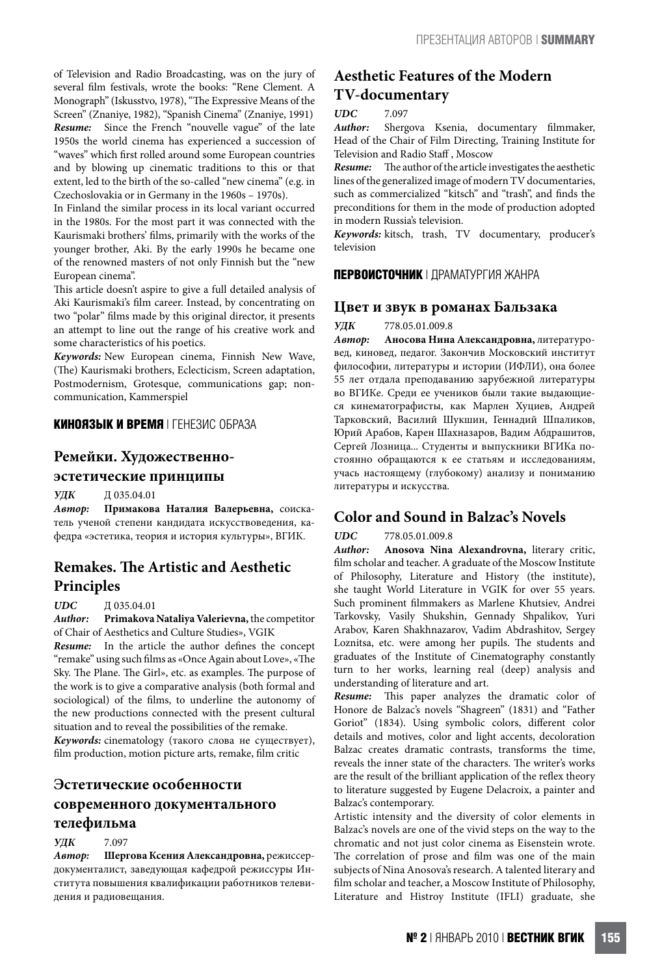of Television and Radio Broadcasting, was on the jury of several film festivals, wrote the books: "Rene Clement. A Monograph" (Iskusstvo, 1978),"The Expressive Means of the Screen" (Znaniye, 1982), "Spanish Cinema" (Znaniye, 1991) *Resume:* Since the French "nouvelle vague" of the late 1950s the world cinema has experienced a succession of "waves" which first rolled around some European countries and by blowing up cinematic traditions to this or that extent, led to the birth of the so-called "new cinema" (e.g. in Czechoslovakia or in Germany in the 1960s – 1970s).

In Finland the similar process in its local variant occurred in the 1980s. For the most part it was connected with the Kaurismaki brothers' films, primarily with the works of the younger brother, Aki. By the early 1990s he became one of the renowned masters of not only Finnish but the "new European cinema".

This article doesn't aspire to give a full detailed analysis of Aki Kaurismaki's film career. Instead, by concentrating on two "polar" films made by this original director, it presents an attempt to line out the range of his creative work and some characteristics of his poetics.

*Keywords:* New European cinema, Finnish New Wave, (The) Kaurismaki brothers, Eclecticism, Screen adaptation, Postmodernism, Grotesque, communications gap; noncommunication, Kammerspiel

#### **КИНОЯЗЫК И ВРЕМЯ** | ГЕНЕЗИС ОБРАЗА

#### **Ремейки. Художественно-**

#### **эстетические принципы**

**УЛК** П 035.04.01

*Автор:* **Примакова Наталия Валерьевна,** соискатель ученой степени кандидата искусствоведения, кафедра «эстетика, теория и история культуры», ВГИК.

## **Remakes. The Artistic and Aesthetic Principles**

#### *UDС* Д 035.04.01

*Author:* **Primakova Nataliya Valerievna,** the competitor of Chair of Aesthetics and Culture Studies», VGIK

*Resume:* In the article the author defines the concept "remake" using such films as «OnceAgain about Love», «The Sky. The Plane. The Girl», etc. as examples. The purpose of the work is to give a comparative analysis (both formal and sociological) of the films, to underline the autonomy of the new productions connected with the present cultural situation and to reveal the possibilities of the remake.

*Keywords:* cinematology (такого слова не существует), film production, motion picture arts, remake, film critic

## **Эстетические особенности современного документального телефильма**

*УДК* 7.097

*Автор:* **Шергова Ксения Александровна,** режиссердокументалист, заведующая кафедрой режиссуры Института повышения квалификации работников телевидения и радиовещания.

## **Aesthetic Features of the Modern TV-documentary**

#### *UDC* 7.097

*Author:* Shergova Ksenia, documentary filmmaker, Head of the Chair of Film Directing, Training Institute for Television and Radio Staff , Moscow

**Resume:** The author of the article investigates the aesthetic lines of the generalized image of modern TV documentaries, such as commercialized "kitsch" and "trash", and finds the preconditions for them in the mode of production adopted in modern Russia's television.

*Keywords:* kitsch, trash, TV documentary, producer's television

#### **ПЕРВОИСТОЧНИК** | ДРАМАТУРГИЯ ЖАНРА

#### **Цвет и звук в романах Бальзака**

#### *УДК* 778.05.01.009.8

*Автор:* **Аносова Нина Александровна,** литературовед, киновед, педагог. Закончив Московский институт философии, литературы и истории (ИФЛИ), она более 55 лет отдала преподаванию зарубежной литературы во ВГИКе. Среди ее учеников были такие выдающиеся кинематографисты, как Марлен Хуциев, Андрей Тарковский, Василий Шукшин, Геннадий Шпаликов, Юрий Арабов, Карен Шахназаров, Вадим Абдрашитов, Сергей Лозница... Студенты и выпускники ВГИКа постоянно обращаются к ее статьям и исследованиям, учась настоящему (глубокому) анализу и пониманию литературы и искусства.

## **Color and Sound in Balzac's Novels**

#### *UDC*  778.05.01.009.8

*Author:* **Anosovа Nina Alexandrovna,** literary critic, film scholar and teacher. A graduate of the Moscow Institute of Philosophy, Literature and History (the institute), she taught World Literature in VGIK for over 55 years. Such prominent filmmakers as Marlene Khutsiev, Andrei Tarkovsky, Vasily Shukshin, Gennady Shpalikov, Yuri Arabov, Karen Shakhnazarov, Vadim Abdrashitov, Sergey Loznitsa, etc. were among her pupils. The students and graduates of the Institute of Cinematography constantly turn to her works, learning real (deep) analysis and understanding of literature and art.

**Resume:** This paper analyzes the dramatic color of Honore de Balzac's novels "Shagreen" (1831) and "Father Goriot" (1834). Using symbolic colors, different color details and motives, color and light accents, decoloration Balzac creates dramatic contrasts, transforms the time, reveals the inner state of the characters. The writer's works are the result of the brilliant application of the reflex theory to literature suggested by Eugene Delacroix, a painter and Balzac's contemporary.

Artistic intensity and the diversity of color elements in Balzac's novels are one of the vivid steps on the way to the chromatic and not just color cinema as Eisenstein wrote. The correlation of prose and film was one of the main subjects of Nina Anosova's research. A talented literary and film scholar and teacher, a Moscow Institute of Philosophy, Literature and Histroy Institute (IFLI) graduate, she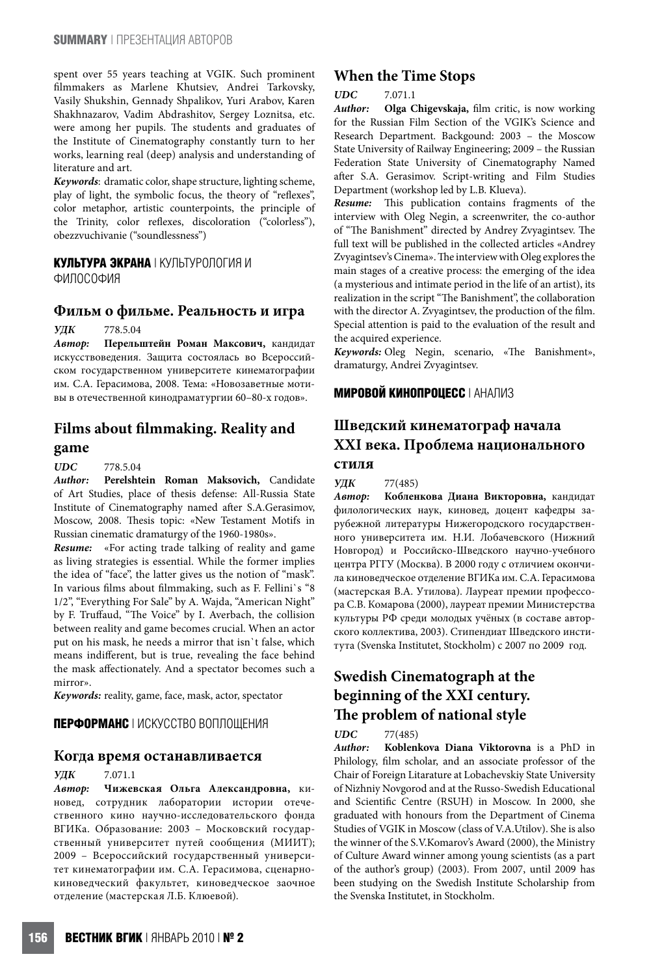spent over 55 years teaching at VGIK. Such prominent filmmakers as Marlene Khutsiev, Andrei Tarkovsky, Vasily Shukshin, Gennady Shpalikov, Yuri Arabov, Karen Shakhnazarov, Vadim Abdrashitov, Sergey Loznitsa, etc. were among her pupils. The students and graduates of the Institute of Cinematography constantly turn to her works, learning real (deep) analysis and understanding of literature and art.

Keywords: dramatic color, shape structure, lighting scheme, play of light, the symbolic focus, the theory of "reflexes", color metaphor, artistic counterpoints, the principle of the Trinity, color reflexes, discoloration ("colorless"), obezzvuchivanie ("soundlessness")

#### **КУЛЬТУРА ЭКРАНА** | КУЛЬТУРОЛОГИЯ И

ФИЛОСОФИЯ

#### **Фильм о фильме. Реальность и игра**

*УДК* 778.5.04

*Автор:* **Перельштейн Роман Максович,** кандидат искусствоведения. Защита состоялась во Всероссийском государственном университете кинематографии им. С.А. Герасимова, 2008. Тема: «Новозаветные мотивы в отечественной кинодраматургии 60–80-х годов».

## **Films about filmmaking. Reality and game**

#### *UDC* 778.5.04

*Author:* **Perelshtein Roman Maksovich,** Candidate of Art Studies, place of thesis defense: All-Russia State Institute of Cinematography named after S.A.Gerasimov, Moscow, 2008. Thesis topic: «New Testament Motifs in Russian cinematic dramaturgy of the 1960-1980s».

*Resume:* «For acting trade talking of reality and game as living strategies is essential. While the former implies the idea of "face", the latter gives us the notion of "mask". In various films about filmmaking, such as F. Fellini`s "8 1/2", "Everything For Sale" by A. Wajda, "American Night" by F. Truffaud, "The Voice" by I. Averbach, the collision between reality and game becomes crucial. When an actor put on his mask, he needs a mirror that isn`t false, which means indifferent, but is true, revealing the face behind the mask affectionately. And a spectator becomes such a mirror».

*Keywords:* reality, game, face, mask, actor, spectator

#### **ПЕРФОРМАНС** | ИСКУССТВО ВОПЛОЩЕНИЯ

#### **Когда время останавливается**

#### *УДК* 7.071.1

*Автор:* **Чижевская Ольга Александровна,** киновед, сотрудник лаборатории истории отечественного кино научно-исследовательского фонда ВГИКа. Образование: 2003 – Московский государственный университет путей сообщения (МИИТ); 2009 – Всероссийский государственный университет кинематографии им. С.А. Герасимова, сценарнокиноведческий факультет, киноведческое заочное отделение (мастерская Л.Б. Клюевой).

### **When the Time Stops**

#### *UDC*  7.071.1

*Author:* **Olga Chigevskaja,** film critic, is now working for the Russian Film Section of the VGIK's Science and Research Department. Backgound: 2003 – the Moscow State University of Railway Engineering; 2009 – the Russian Federation State University of Cinematography Named after S.A. Gerasimov. Script-writing and Film Studies Department (workshop led by L.B. Klueva).

**Resume:** This publication contains fragments of the interview with Oleg Negin, a screenwriter, the co-author of "The Banishment" directed by Andrey Zvyagintsev. The full text will be published in the collected articles «Andrey Zvyagintsev's Cinema». The interview with Oleg explores the main stages of a creative process: the emerging of the idea (a mysterious and intimate period in the life of an artist), its realization in the script"The Banishment", the collaboration with the director A. Zvyagintsev, the production of the film. Special attention is paid to the evaluation of the result and the acquired experience.

*Keywords:*  Oleg Negin, scenario, «The Banishment», dramaturgy, Andrei Zvyagintsev.

#### **МИРОВОЙ КИНОПРОЦЕСС** | АНАЛИЗ

## **Шведский кинематограф начала ХХI века. Проблема национального стиля**

#### *УДК* 77(485)

*Автор:* **Кобленкова Диана Викторовна,** кандидат филологических наук, киновед, доцент кафедры зарубежной литературы Нижегородского государственного университета им. Н.И. Лобачевского (Нижний Новгород) и Российско-Шведского научно-учебного центра РГГУ (Москва). В 2000 году с отличием окончила киноведческое отделение ВГИКа им. С.А. Герасимова (мастерская В.А. Утилова). Лауреат премии профессора С.В. Комарова (2000), лауреат премии Министерства культуры РФ среди молодых учёных (в составе авторского коллектива, 2003). Стипендиат Шведского института (Svenska Institutet, Stockholm) с 2007 по 2009 год.

## **Swedish Cinematograph at the beginning of the XXI century. The problem of national style**

#### *UDC*  77(485)

*Author:* **Koblenkova Diana Viktorovna** is a PhD in Philology, film scholar, and an associate professor of the Chair of Foreign Litarature at Lobachevskiy State University of Nizhniy Novgorod and at the Russo-Swedish Educational and Scientific Centre (RSUH) in Moscow. In 2000, she graduated with honours from the Department of Cinema Studies of VGIK in Moscow (class of V.A.Utilov). She is also the winner of the S.V.Komarov's Award (2000), the Ministry of Culture Award winner among young scientists (as a part of the author's group) (2003). From 2007, until 2009 has been studying on the Swedish Institute Scholarship from the Svenska Institutet, in Stockholm.